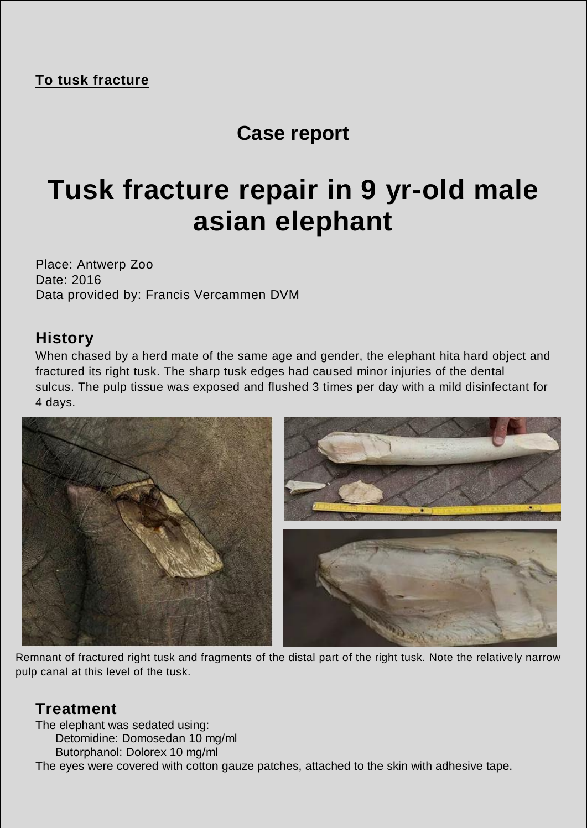## **Case report**

# **Tusk fracture repair in 9 yr-old male asian elephant**

Place: Antwerp Zoo Date: 2016 Data provided by: Francis Vercammen DVM

#### **History**

When chased by a herd mate of the same age and gender, the elephant hita hard object and fractured its right tusk. The sharp tusk edges had caused minor injuries of the dental sulcus. The pulp tissue was exposed and flushed 3 times per day with a mild disinfectant for 4 days.



Remnant of fractured right tusk and fragments of the distal part of the right tusk. Note the relatively narrow pulp canal at this level of the tusk.

### **Treatment**

The elephant was sedated using:

Detomidine: Domosedan 10 mg/ml

Butorphanol: Dolorex 10 mg/ml

The eyes were covered with cotton gauze patches, attached to the skin with adhesive tape.